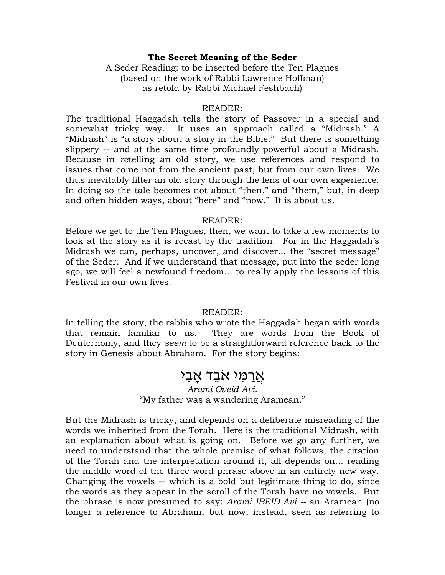### **The Secret Meaning of the Seder**

A Seder Reading: to be inserted before the Ten Plagues (based on the work of Rabbi Lawrence Hoffman) as retold by Rabbi Michael Feshbach)

#### READER:

The traditional Haggadah tells the story of Passover in a special and somewhat tricky way. It uses an approach called a "Midrash." A "Midrash" is "a story about a story in the Bible." But there is something slippery -- and at the same time profoundly powerful about a Midrash. Because in *re*telling an old story, we use references and respond to issues that come not from the ancient past, but from our own lives. We thus inevitably filter an old story through the lens of our own experience. In doing so the tale becomes not about "then," and "them," but, in deep and often hidden ways, about "here" and "now." It is about us.

### READER:

Before we get to the Ten Plagues, then, we want to take a few moments to look at the story as it is recast by the tradition. For in the Haggadah's Midrash we can, perhaps, uncover, and discover... the "secret message" of the Seder. And if we understand that message, put into the seder long ago, we will feel a newfound freedom... to really apply the lessons of this Festival in our own lives.

### READER:

In telling the story, the rabbis who wrote the Haggadah began with words that remain familiar to us. They are words from the Book of Deuternomy, and they *seem* to be a straightforward reference back to the story in Genesis about Abraham. For the story begins:

## אֲרַמִי אֹבֵד אֲבִי

*Arami Oveid Avi.* "My father was a wandering Aramean."

But the Midrash is tricky, and depends on a deliberate misreading of the words we inherited from the Torah. Here is the traditional Midrash, with an explanation about what is going on. Before we go any further, we need to understand that the whole premise of what follows, the citation of the Torah and the interpretation around it, all depends on... reading the middle word of the three word phrase above in an entirely new way. Changing the vowels -- which is a bold but legitimate thing to do, since the words as they appear in the scroll of the Torah have no vowels. But the phrase is now presumed to say: *Arami IBEID Avi --* an Aramean (no longer a reference to Abraham, but now, instead, seen as referring to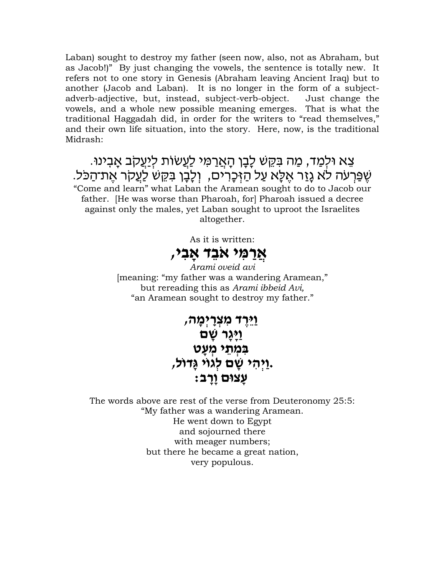Laban) sought to destroy my father (seen now, also, not as Abraham, but as Jacob!)" By just changing the vowels, the sentence is totally new. It refers not to one story in Genesis (Abraham leaving Ancient Iraq) but to another (Jacob and Laban). It is no longer in the form of a subjectadverb-adjective, but, instead, subject-verb-object. Just change the vowels, and a whole new possible meaning emerges. That is what the traditional Haggadah did, in order for the writers to "read themselves," and their own life situation, into the story. Here, now, is the traditional Midrash:

# ִ צֵא וּלִמַד, מַה בִּקֵשׁ לָבָן הָאֲרַמִּי לַעֲשׂוֹת לִיַעֲקֹב אָבִינוּ. ֿשֶׁפַּרְעֹה לֹא גָזַר אֵלָּא עַל הַזִּכָרִים, וְלָבָן בִּקֶשׁ לַעֲקֹר אֶת־הַכֹּל.

"Come and learn" what Laban the Aramean sought to do to Jacob our father. [He was worse than Pharoah, for] Pharoah issued a decree against only the males, yet Laban sought to uproot the Israelites altogether.

As it is written:

# **אֲ רַ מִּ י אֹבֵ ד ָאבִּ י,**

*Arami oveid avi* [meaning: "my father was a wandering Aramean," but rereading this as *Arami ibbeid Avi,*  "an Aramean sought to destroy my father."

## **וַיֵ רֶ ד מִּ צְ רַַֽ יְ מָ ה, וַיָּגָר שָׁם** ב**ִמְתֵי** מְעָט **וַיִּהִי שַׁם לְגוֹי גַדוֹל, עָ צּום וָרָ ב:**

The words above are rest of the verse from Deuteronomy 25:5: "My father was a wandering Aramean. He went down to Egypt and sojourned there with meager numbers; but there he became a great nation, very populous.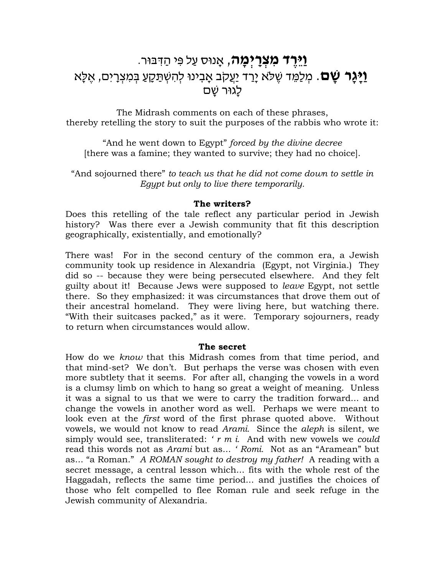## **ּוַיֵּרֶד מִצְרַיִמֶה**, אָנוּס עַל פִּי הַדִּבּוּר. **וַיָּגָר שָׁם**. מְלַמֵּד שֶׁלֹּא יָרַד יַעֲקֹב אָבִינוּ לְהִשְׁתַּקָעַ בְּמִצְרָיִם, אֶלֶּא לָגוּר שַׁם

The Midrash comments on each of these phrases, thereby retelling the story to suit the purposes of the rabbis who wrote it:

"And he went down to Egypt" *forced by the divine decree* [there was a famine; they wanted to survive; they had no choice].

"And sojourned there" *to teach us that he did not come down to settle in Egypt but only to live there temporarily.*

### **The writers?**

Does this retelling of the tale reflect any particular period in Jewish history? Was there ever a Jewish community that fit this description geographically, existentially, and emotionally?

There was! For in the second century of the common era, a Jewish community took up residence in Alexandria (Egypt, not Virginia.) They did so -- because they were being persecuted elsewhere. And they felt guilty about it! Because Jews were supposed to *leave* Egypt, not settle there. So they emphasized: it was circumstances that drove them out of their ancestral homeland. They were living here, but watching there. "With their suitcases packed," as it were. Temporary sojourners, ready to return when circumstances would allow.

### **The secret**

How do we *know* that this Midrash comes from that time period, and that mind-set? We don't. But perhaps the verse was chosen with even more subtlety that it seems. For after all, changing the vowels in a word is a clumsy limb on which to hang so great a weight of meaning. Unless it was a signal to us that we were to carry the tradition forward... and change the vowels in another word as well. Perhaps we were meant to look even at the *first* word of the first phrase quoted above. Without vowels, we would not know to read *Arami.* Since the *aleph* is silent, we simply would see, transliterated: *' r m i.* And with new vowels we *could*  read this words not as *Arami* but as... *' Romi.* Not as an "Aramean" but as... "a Roman." *A ROMAN sought to destroy my father!* A reading with a secret message, a central lesson which... fits with the whole rest of the Haggadah, reflects the same time period... and justifies the choices of those who felt compelled to flee Roman rule and seek refuge in the Jewish community of Alexandria.